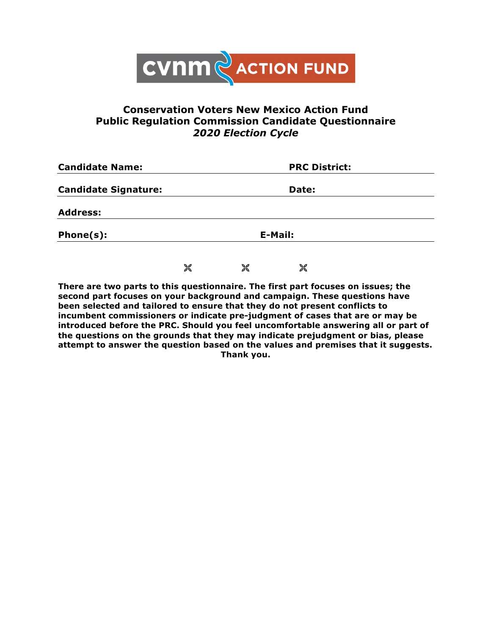

## **Conservation Voters New Mexico Action Fund Public Regulation Commission Candidate Questionnaire**  *2020 Election Cycle*

| <b>Candidate Name:</b>      |         | <b>PRC District:</b><br>Date: |   |  |
|-----------------------------|---------|-------------------------------|---|--|
| <b>Candidate Signature:</b> |         |                               |   |  |
| <b>Address:</b>             |         |                               |   |  |
| Phone(s):                   | E-Mail: |                               |   |  |
|                             | 饕       | X                             | X |  |

**There are two parts to this questionnaire. The first part focuses on issues; the second part focuses on your background and campaign. These questions have been selected and tailored to ensure that they do not present conflicts to incumbent commissioners or indicate pre-judgment of cases that are or may be introduced before the PRC. Should you feel uncomfortable answering all or part of the questions on the grounds that they may indicate prejudgment or bias, please attempt to answer the question based on the values and premises that it suggests. Thank you.**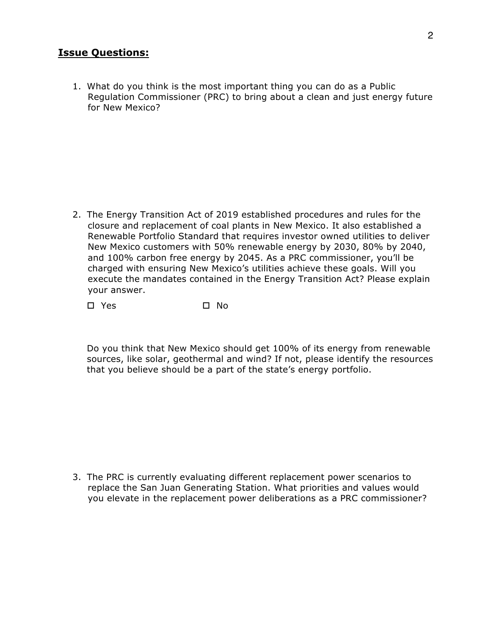## **Issue Questions:**

1. What do you think is the most important thing you can do as a Public Regulation Commissioner (PRC) to bring about a clean and just energy future for New Mexico?

2. The Energy Transition Act of 2019 established procedures and rules for the closure and replacement of coal plants in New Mexico. It also established a Renewable Portfolio Standard that requires investor owned utilities to deliver New Mexico customers with 50% renewable energy by 2030, 80% by 2040, and 100% carbon free energy by 2045. As a PRC commissioner, you'll be charged with ensuring New Mexico's utilities achieve these goals. Will you execute the mandates contained in the Energy Transition Act? Please explain your answer.

o Yes o No

Do you think that New Mexico should get 100% of its energy from renewable sources, like solar, geothermal and wind? If not, please identify the resources that you believe should be a part of the state's energy portfolio.

3. The PRC is currently evaluating different replacement power scenarios to replace the San Juan Generating Station. What priorities and values would you elevate in the replacement power deliberations as a PRC commissioner?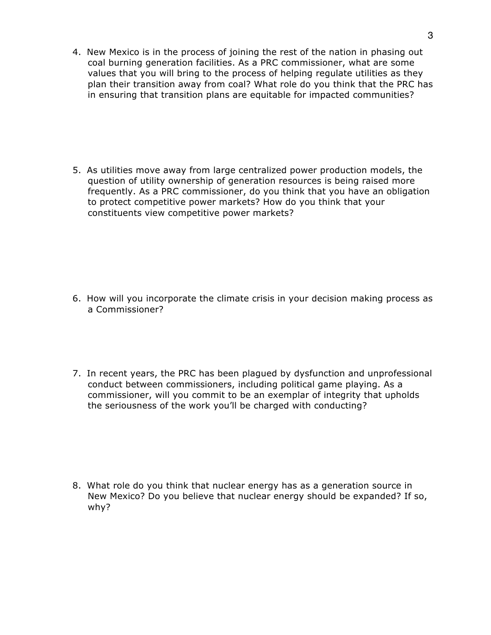4. New Mexico is in the process of joining the rest of the nation in phasing out coal burning generation facilities. As a PRC commissioner, what are some values that you will bring to the process of helping regulate utilities as they plan their transition away from coal? What role do you think that the PRC has in ensuring that transition plans are equitable for impacted communities?

5. As utilities move away from large centralized power production models, the question of utility ownership of generation resources is being raised more frequently. As a PRC commissioner, do you think that you have an obligation to protect competitive power markets? How do you think that your constituents view competitive power markets?

- 6. How will you incorporate the climate crisis in your decision making process as a Commissioner?
- 7. In recent years, the PRC has been plagued by dysfunction and unprofessional conduct between commissioners, including political game playing. As a commissioner, will you commit to be an exemplar of integrity that upholds the seriousness of the work you'll be charged with conducting?

8. What role do you think that nuclear energy has as a generation source in New Mexico? Do you believe that nuclear energy should be expanded? If so, why?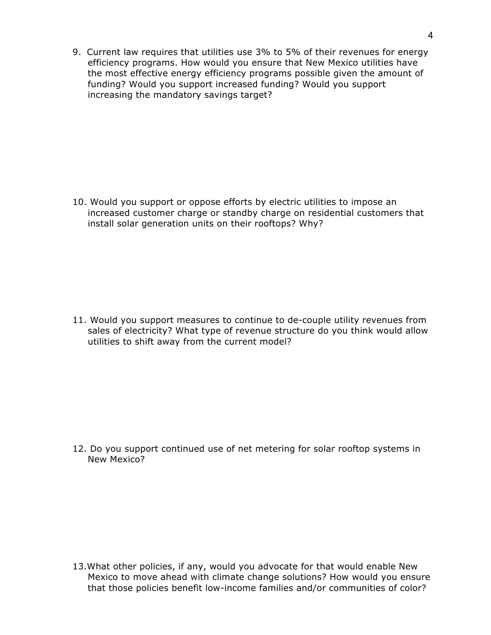9. Current law requires that utilities use 3% to 5% of their revenues for energy efficiency programs. How would you ensure that New Mexico utilities have the most effective energy efficiency programs possible given the amount of funding? Would you support increased funding? Would you support increasing the mandatory savings target?

10. Would you support or oppose efforts by electric utilities to impose an increased customer charge or standby charge on residential customers that install solar generation units on their rooftops? Why?

11. Would you support measures to continue to de-couple utility revenues from sales of electricity? What type of revenue structure do you think would allow utilities to shift away from the current model?

12. Do you support continued use of net metering for solar rooftop systems in New Mexico?

13.What other policies, if any, would you advocate for that would enable New Mexico to move ahead with climate change solutions? How would you ensure that those policies benefit low-income families and/or communities of color?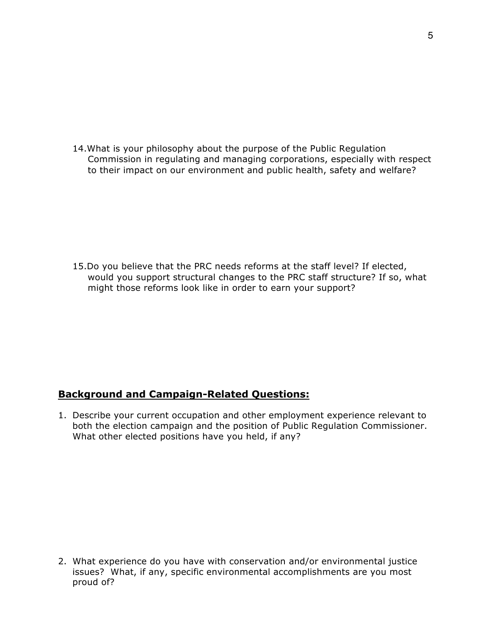14.What is your philosophy about the purpose of the Public Regulation Commission in regulating and managing corporations, especially with respect to their impact on our environment and public health, safety and welfare?

15.Do you believe that the PRC needs reforms at the staff level? If elected, would you support structural changes to the PRC staff structure? If so, what might those reforms look like in order to earn your support?

## **Background and Campaign-Related Questions:**

1. Describe your current occupation and other employment experience relevant to both the election campaign and the position of Public Regulation Commissioner. What other elected positions have you held, if any?

2. What experience do you have with conservation and/or environmental justice issues? What, if any, specific environmental accomplishments are you most proud of?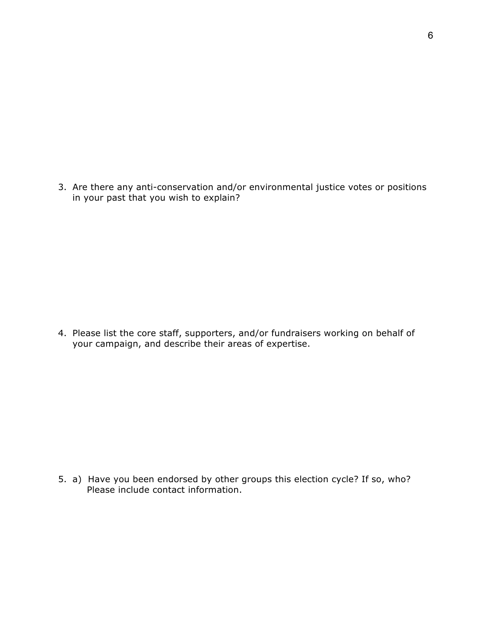3. Are there any anti-conservation and/or environmental justice votes or positions in your past that you wish to explain?

4. Please list the core staff, supporters, and/or fundraisers working on behalf of your campaign, and describe their areas of expertise.

5. a) Have you been endorsed by other groups this election cycle? If so, who? Please include contact information.